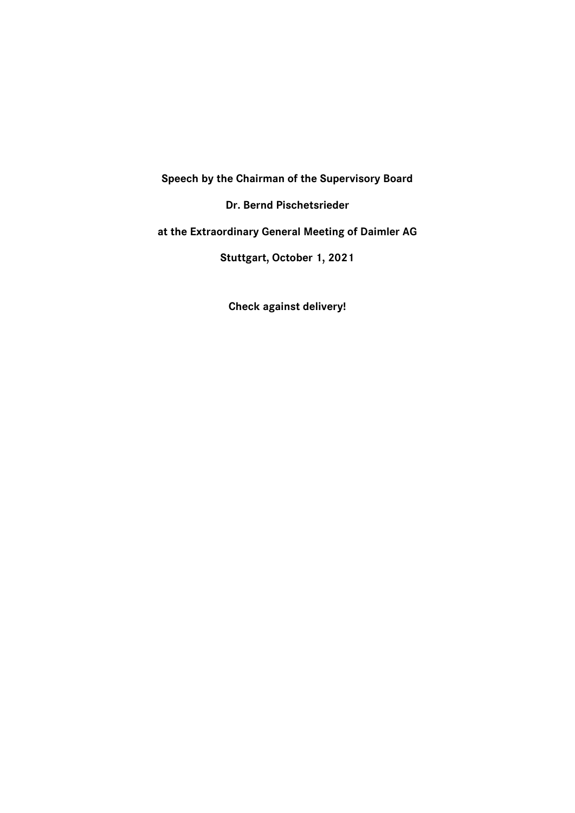**Speech by the Chairman of the Supervisory Board**

**Dr. Bernd Pischetsrieder**

**at the Extraordinary General Meeting of Daimler AG**

**Stuttgart, October 1, 2021**

**Check against delivery!**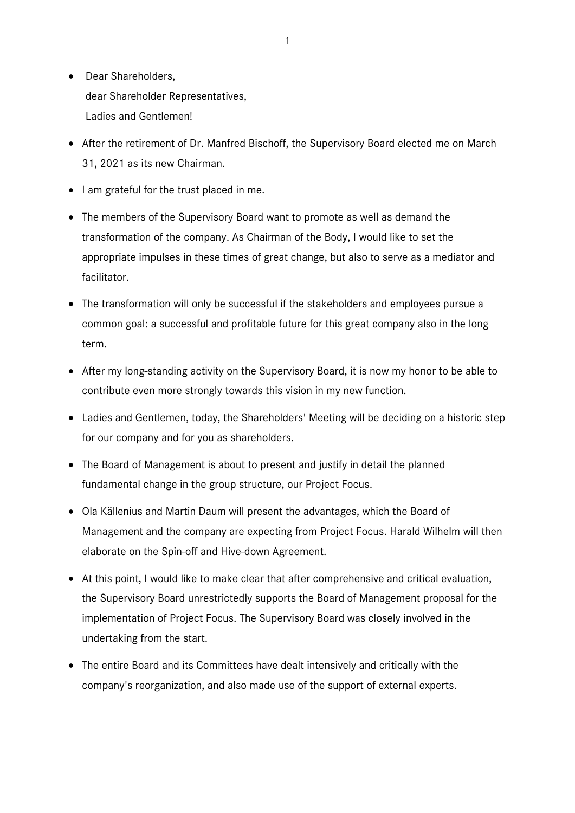- Dear Shareholders, dear Shareholder Representatives, Ladies and Gentlemen!
- After the retirement of Dr. Manfred Bischoff, the Supervisory Board elected me on March 31, 2021 as its new Chairman.
- I am grateful for the trust placed in me.
- The members of the Supervisory Board want to promote as well as demand the transformation of the company. As Chairman of the Body, I would like to set the appropriate impulses in these times of great change, but also to serve as a mediator and facilitator.
- The transformation will only be successful if the stakeholders and employees pursue a common goal: a successful and profitable future for this great company also in the long term.
- After my long-standing activity on the Supervisory Board, it is now my honor to be able to contribute even more strongly towards this vision in my new function.
- Ladies and Gentlemen, today, the Shareholders' Meeting will be deciding on a historic step for our company and for you as shareholders.
- The Board of Management is about to present and justify in detail the planned fundamental change in the group structure, our Project Focus.
- Ola Källenius and Martin Daum will present the advantages, which the Board of Management and the company are expecting from Project Focus. Harald Wilhelm will then elaborate on the Spin-off and Hive-down Agreement.
- At this point, I would like to make clear that after comprehensive and critical evaluation, the Supervisory Board unrestrictedly supports the Board of Management proposal for the implementation of Project Focus. The Supervisory Board was closely involved in the undertaking from the start.
- The entire Board and its Committees have dealt intensively and critically with the company's reorganization, and also made use of the support of external experts.